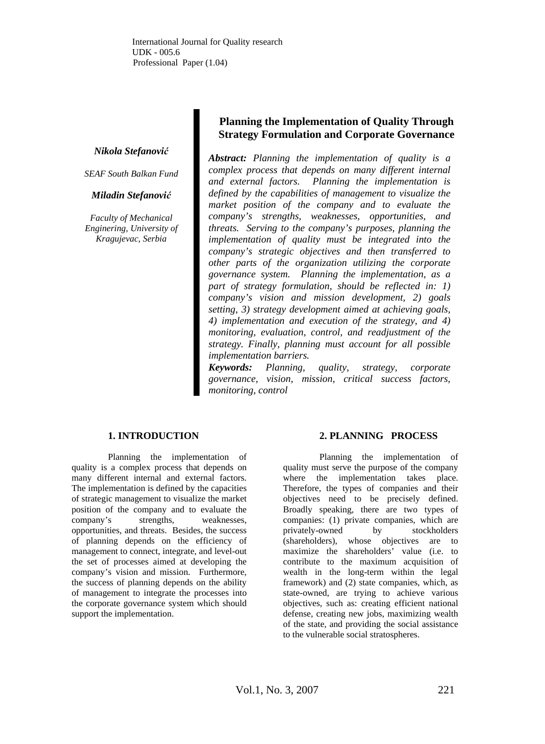International Journal for Quality research UDK - 005.6 Professional Paper (1.04)

*Nikola Stefanović* 

*SEAF South Balkan Fund* 

#### *Miladin Stefanović*

*Faculty of Mechanical Enginering, University of Kragujevac, Serbia* 

# **Planning the Implementation of Quality Through Strategy Formulation and Corporate Governance**

*Abstract: Planning the implementation of quality is a complex process that depends on many different internal and external factors. Planning the implementation is defined by the capabilities of management to visualize the market position of the company and to evaluate the company's strengths, weaknesses, opportunities, and threats. Serving to the company's purposes, planning the implementation of quality must be integrated into the company's strategic objectives and then transferred to other parts of the organization utilizing the corporate governance system. Planning the implementation, as a part of strategy formulation, should be reflected in: 1) company's vision and mission development, 2) goals setting, 3) strategy development aimed at achieving goals, 4) implementation and execution of the strategy, and 4) monitoring, evaluation, control, and readjustment of the strategy. Finally, planning must account for all possible implementation barriers.* 

*Keywords: Planning, quality, strategy, corporate governance, vision, mission, critical success factors, monitoring, control* 

## **1. INTRODUCTION**

Planning the implementation of quality is a complex process that depends on many different internal and external factors. The implementation is defined by the capacities of strategic management to visualize the market position of the company and to evaluate the company's strengths, weaknesses, opportunities, and threats. Besides, the success of planning depends on the efficiency of management to connect, integrate, and level-out the set of processes aimed at developing the company's vision and mission. Furthermore, the success of planning depends on the ability of management to integrate the processes into the corporate governance system which should support the implementation.

## **2. PLANNING PROCESS**

Planning the implementation of quality must serve the purpose of the company where the implementation takes place. Therefore, the types of companies and their objectives need to be precisely defined. Broadly speaking, there are two types of companies: (1) private companies, which are privately-owned by stockholders (shareholders), whose objectives are to maximize the shareholders' value (i.e. to contribute to the maximum acquisition of wealth in the long-term within the legal framework) and (2) state companies, which, as state-owned, are trying to achieve various objectives, such as: creating efficient national defense, creating new jobs, maximizing wealth of the state, and providing the social assistance to the vulnerable social stratospheres.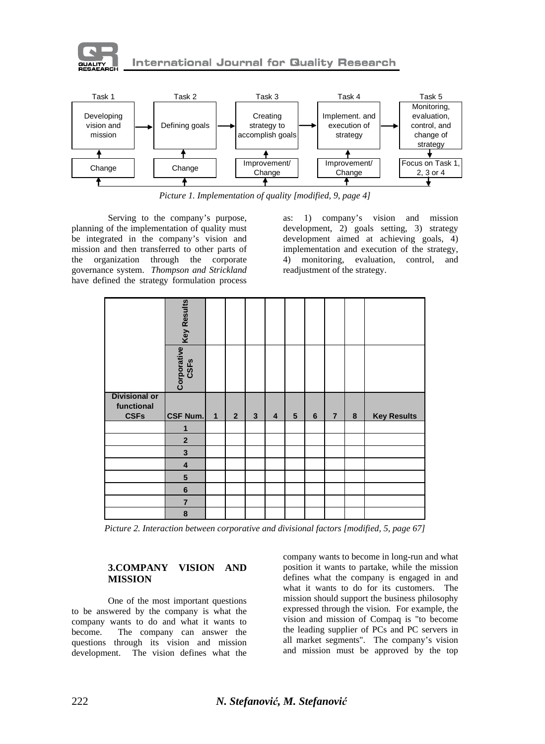

**International Journal for Quality Research** 



*Picture 1. Implementation of quality [modified, 9, page 4]* 

Serving to the company's purpose, planning of the implementation of quality must be integrated in the company's vision and mission and then transferred to other parts of the organization through the corporate governance system. *Thompson and Strickland* have defined the strategy formulation process

as: 1) company's vision and mission development, 2) goals setting, 3) strategy development aimed at achieving goals, 4) implementation and execution of the strategy, 4) monitoring, evaluation, control, and readjustment of the strategy.

|                      | Key Results             |              |                |                |   |   |   |                |   |                    |
|----------------------|-------------------------|--------------|----------------|----------------|---|---|---|----------------|---|--------------------|
|                      | Corporative<br>CSFs     |              |                |                |   |   |   |                |   |                    |
| <b>Divisional or</b> |                         |              |                |                |   |   |   |                |   |                    |
| functional           |                         |              |                |                |   |   |   |                |   |                    |
|                      |                         |              |                |                |   |   |   |                |   |                    |
| <b>CSFs</b>          | CSF Num.                | $\mathbf{1}$ | 2 <sup>1</sup> | 3 <sup>1</sup> | 4 | 5 | 6 | $\overline{7}$ | 8 | <b>Key Results</b> |
|                      | 1                       |              |                |                |   |   |   |                |   |                    |
|                      | $\mathbf{2}$            |              |                |                |   |   |   |                |   |                    |
|                      | $\overline{\mathbf{3}}$ |              |                |                |   |   |   |                |   |                    |
|                      | $\overline{\mathbf{4}}$ |              |                |                |   |   |   |                |   |                    |
|                      | ${\bf 5}$               |              |                |                |   |   |   |                |   |                    |
|                      | $6\phantom{1}$          |              |                |                |   |   |   |                |   |                    |
|                      | $\overline{7}$          |              |                |                |   |   |   |                |   |                    |

*Picture 2. Interaction between corporative and divisional factors [modified, 5, page 67]* 

## **3.COMPANY VISION AND MISSION**

One of the most important questions to be answered by the company is what the company wants to do and what it wants to become. The company can answer the questions through its vision and mission development. The vision defines what the

company wants to become in long-run and what position it wants to partake, while the mission defines what the company is engaged in and what it wants to do for its customers. The mission should support the business philosophy expressed through the vision. For example, the vision and mission of Compaq is "to become the leading supplier of PCs and PC servers in all market segments". The company's vision and mission must be approved by the top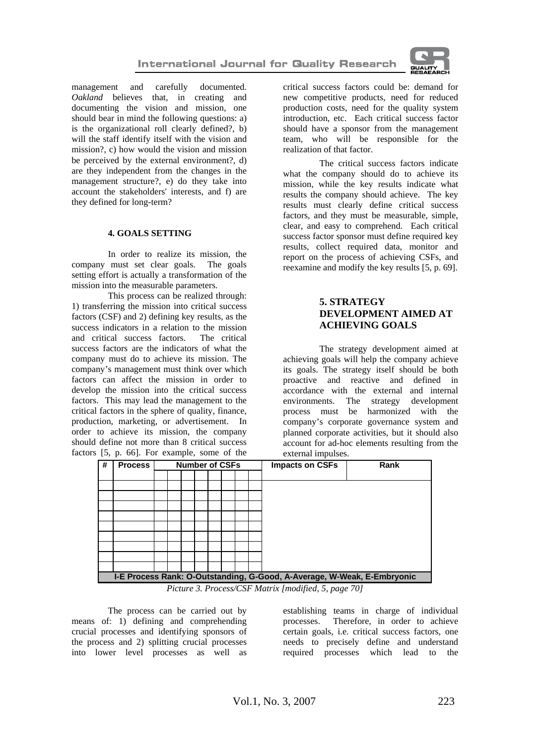

management and carefully documented. *Oakland* believes that, in creating and documenting the vision and mission, one should bear in mind the following questions: a) is the organizational roll clearly defined?, b) will the staff identify itself with the vision and mission?, c) how would the vision and mission be perceived by the external environment?, d) are they independent from the changes in the management structure?, e) do they take into account the stakeholders' interests, and f) are they defined for long-term?

#### **4. GOALS SETTING**

In order to realize its mission, the company must set clear goals. The goals setting effort is actually a transformation of the mission into the measurable parameters.

This process can be realized through: 1) transferring the mission into critical success factors (CSF) and 2) defining key results, as the success indicators in a relation to the mission and critical success factors. The critical success factors are the indicators of what the company must do to achieve its mission. The company's management must think over which factors can affect the mission in order to develop the mission into the critical success factors. This may lead the management to the critical factors in the sphere of quality, finance, production, marketing, or advertisement. In order to achieve its mission, the company should define not more than 8 critical success factors [5, p. 66]. For example, some of the

critical success factors could be: demand for new competitive products, need for reduced production costs, need for the quality system introduction, etc. Each critical success factor should have a sponsor from the management team, who will be responsible for the realization of that factor.

The critical success factors indicate what the company should do to achieve its mission, while the key results indicate what results the company should achieve. The key results must clearly define critical success factors, and they must be measurable, simple, clear, and easy to comprehend. Each critical success factor sponsor must define required key results, collect required data, monitor and report on the process of achieving CSFs, and reexamine and modify the key results [5, p. 69].

# **5. STRATEGY DEVELOPMENT AIMED AT ACHIEVING GOALS**

The strategy development aimed at achieving goals will help the company achieve its goals. The strategy itself should be both proactive and reactive and defined in accordance with the external and internal environments. The strategy development process must be harmonized with the company's corporate governance system and planned corporate activities, but it should also account for ad-hoc elements resulting from the external impulses.

| $\mathcal{L}$ |                                                                         |  |                       |  |  |  |  |  | CARLINE Imputors. |                                |
|---------------|-------------------------------------------------------------------------|--|-----------------------|--|--|--|--|--|-------------------|--------------------------------|
| #             | <b>Process</b>                                                          |  | <b>Number of CSFs</b> |  |  |  |  |  |                   | <b>Impacts on CSFs</b><br>Rank |
|               |                                                                         |  |                       |  |  |  |  |  |                   |                                |
|               |                                                                         |  |                       |  |  |  |  |  |                   |                                |
|               |                                                                         |  |                       |  |  |  |  |  |                   |                                |
|               |                                                                         |  |                       |  |  |  |  |  |                   |                                |
|               |                                                                         |  |                       |  |  |  |  |  |                   |                                |
|               |                                                                         |  |                       |  |  |  |  |  |                   |                                |
|               |                                                                         |  |                       |  |  |  |  |  |                   |                                |
|               |                                                                         |  |                       |  |  |  |  |  |                   |                                |
|               |                                                                         |  |                       |  |  |  |  |  |                   |                                |
|               |                                                                         |  |                       |  |  |  |  |  |                   |                                |
|               |                                                                         |  |                       |  |  |  |  |  |                   |                                |
|               |                                                                         |  |                       |  |  |  |  |  |                   |                                |
|               | I-E Process Rank: O-Outstanding, G-Good, A-Average, W-Weak, E-Embryonic |  |                       |  |  |  |  |  |                   |                                |
|               |                                                                         |  |                       |  |  |  |  |  |                   |                                |

*Picture 3. Process/CSF Matrix [modified, 5, page 70]* 

The process can be carried out by means of: 1) defining and comprehending crucial processes and identifying sponsors of the process and 2) splitting crucial processes into lower level processes as well as establishing teams in charge of individual processes. Therefore, in order to achieve certain goals, i.e. critical success factors, one needs to precisely define and understand required processes which lead to the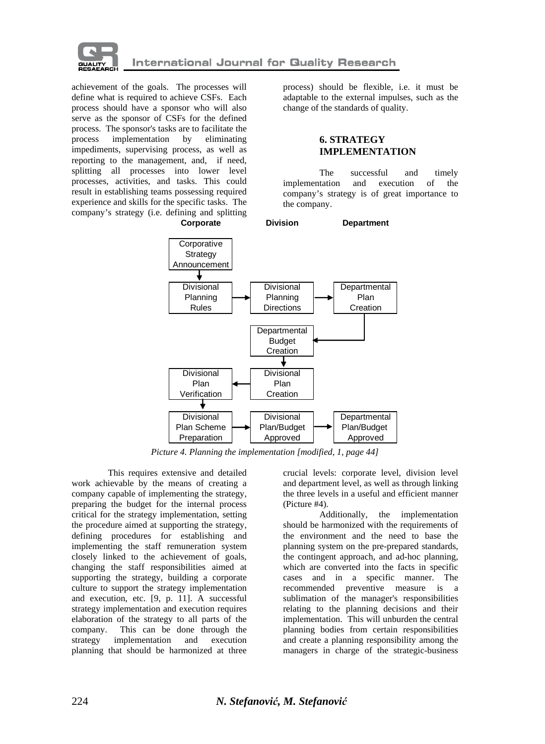

achievement of the goals. The processes will define what is required to achieve CSFs. Each process should have a sponsor who will also serve as the sponsor of CSFs for the defined process. The sponsor's tasks are to facilitate the process implementation by eliminating impediments, supervising process, as well as reporting to the management, and, if need, splitting all processes into lower level processes, activities, and tasks. This could result in establishing teams possessing required experience and skills for the specific tasks. The company's strategy (i.e. defining and splitting process) should be flexible, i.e. it must be adaptable to the external impulses, such as the change of the standards of quality.

# **6. STRATEGY IMPLEMENTATION**

The successful and timely implementation and execution of the company's strategy is of great importance to the company.



*Picture 4. Planning the implementation [modified, 1, page 44]* 

This requires extensive and detailed work achievable by the means of creating a company capable of implementing the strategy, preparing the budget for the internal process critical for the strategy implementation, setting the procedure aimed at supporting the strategy, defining procedures for establishing and implementing the staff remuneration system closely linked to the achievement of goals, changing the staff responsibilities aimed at supporting the strategy, building a corporate culture to support the strategy implementation and execution, etc. [9, p. 11]. A successful strategy implementation and execution requires elaboration of the strategy to all parts of the company. This can be done through the strategy implementation and execution planning that should be harmonized at three crucial levels: corporate level, division level and department level, as well as through linking the three levels in a useful and efficient manner (Picture #4).

Additionally, the implementation should be harmonized with the requirements of the environment and the need to base the planning system on the pre-prepared standards, the contingent approach, and ad-hoc planning, which are converted into the facts in specific cases and in a specific manner. The recommended preventive measure is a sublimation of the manager's responsibilities relating to the planning decisions and their implementation. This will unburden the central planning bodies from certain responsibilities and create a planning responsibility among the managers in charge of the strategic-business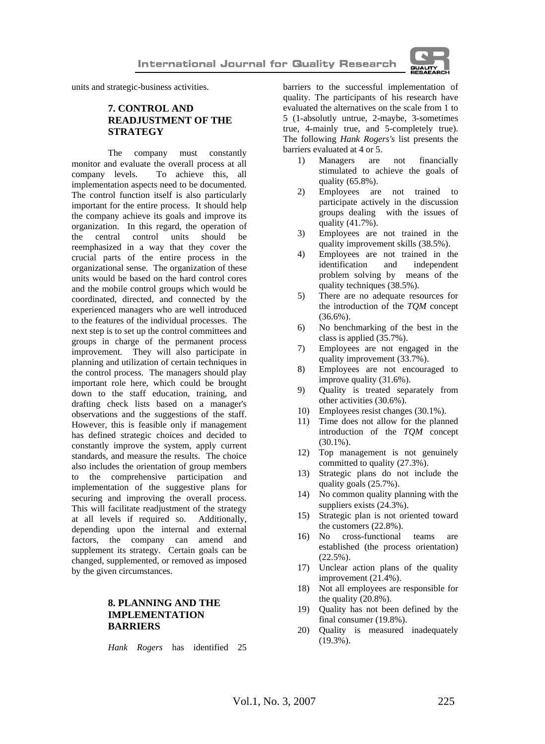

units and strategic-business activities.

## **7. CONTROL AND READJUSTMENT OF THE STRATEGY**

The company must constantly monitor and evaluate the overall process at all company levels. To achieve this, all implementation aspects need to be documented. The control function itself is also particularly important for the entire process. It should help the company achieve its goals and improve its organization. In this regard, the operation of the central control units should be reemphasized in a way that they cover the crucial parts of the entire process in the organizational sense. The organization of these units would be based on the hard control cores and the mobile control groups which would be coordinated, directed, and connected by the experienced managers who are well introduced to the features of the individual processes. The next step is to set up the control committees and groups in charge of the permanent process improvement. They will also participate in planning and utilization of certain techniques in the control process. The managers should play important role here, which could be brought down to the staff education, training, and drafting check lists based on a manager's observations and the suggestions of the staff. However, this is feasible only if management has defined strategic choices and decided to constantly improve the system, apply current standards, and measure the results. The choice also includes the orientation of group members to the comprehensive participation and implementation of the suggestive plans for securing and improving the overall process. This will facilitate readjustment of the strategy at all levels if required so. Additionally, depending upon the internal and external factors, the company can amend and supplement its strategy. Certain goals can be changed, supplemented, or removed as imposed by the given circumstances.

## **8. PLANNING AND THE IMPLEMENTATION BARRIERS**

*Hank Rogers* has identified 25

barriers to the successful implementation of quality. The participants of his research have evaluated the alternatives on the scale from 1 to 5 (1-absolutly untrue, 2-maybe, 3-sometimes true, 4-mainly true, and 5-completely true). The following *Hank Rogers's* list presents the barriers evaluated at 4 or 5.

- 1) Managers are not financially stimulated to achieve the goals of quality (65.8%).
- 2) Employees are not trained to participate actively in the discussion groups dealing with the issues of quality (41.7%).
- 3) Employees are not trained in the quality improvement skills (38.5%).
- 4) Employees are not trained in the identification and independent problem solving by means of the quality techniques (38.5%).
- 5) There are no adequate resources for the introduction of the *TQM* concept (36.6%).
- 6) No benchmarking of the best in the class is applied (35.7%).
- 7) Employees are not engaged in the quality improvement (33.7%).
- 8) Employees are not encouraged to improve quality (31.6%).
- 9) Quality is treated separately from other activities (30.6%).
- 10) Employees resist changes (30.1%).
- 11) Time does not allow for the planned introduction of the *TQM* concept (30.1%).
- 12) Top management is not genuinely committed to quality (27.3%).
- 13) Strategic plans do not include the quality goals (25.7%).
- 14) No common quality planning with the suppliers exists (24.3%).
- 15) Strategic plan is not oriented toward the customers (22.8%).
- 16) No cross-functional teams are established (the process orientation)  $(22.5\%)$ .
- 17) Unclear action plans of the quality improvement (21.4%).
- 18) Not all employees are responsible for the quality  $(20.8\%)$ .
- 19) Quality has not been defined by the final consumer (19.8%).
- 20) Quality is measured inadequately (19.3%).